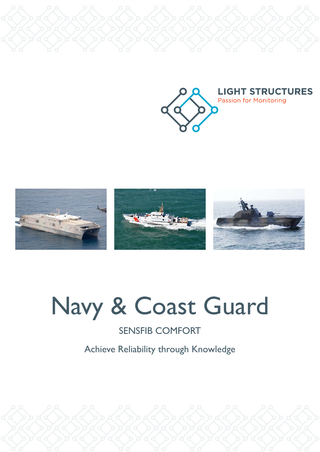



# Navy & Coast Guard

# SENSFIB COMFORT

Achieve Reliability through Knowledge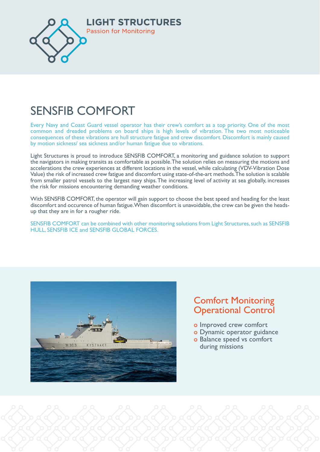

## CENICEIR CONFORT  $K_{\text{eff}}$ SENSFIB COMFORT

Every Navy and Coast Guard vessel operator has their crew's comfort as a top priority. One of the most ɽɨƃȶɰȈɽɰƃɰƺɁȴǹɁɨɽƃƹȢljƃɰɥɁɰɰȈƹȢljӝěȃljɰɁȢʍɽȈɁȶȈɰɰƺƃȢljƃƹȢljǹɨɁȴɰȃɁɨɽӸȃƃʍȢǹljɨɨȈljɰɽɁɽȃljȢƃɨǼljɰɽ common and dreaded problems on board ships is high levels of vibration. The two most noticeable consequences of these vibrations are hull structure fatigue and crew discomfort. Discomfort is mainly caused by motion sickness/ sea sickness and/or human fatigue due to vibrations. ǁȈɰƺɁȴǹɁɨɽʍɰȈȶǼɰɽƃɽljӸɁǹӸɽȃljӸƃɨɽȴljɽȃɁǁɰӝ

the navigators in making transits as comfortable as possible. The solution relies on measuring the motions and accelerations the crew experiences at different locations in the vessel, while calculating (VDV-Vibration Dose Value) the risk of increased crew fatigue and discomfort using state-of-the-art methods. The solution is scalable from smaller patrol vessels to the largest navy ships. The increasing level of activity at sea globally, increases the risk for missions encountering demanding weather conditions. Light Structures is proud to introduce SENSFIB COMFORT, a monitoring and guidance solution to support

With SENSFIB COMFORT, the operator will gain support to choose the best speed and heading for the least discomfort and occurence of human fatigue. When discomfort is unavoidable, the crew can be given the headsup that they are in for a rougher ride.

SENSFIB COMFORT can be combined with other monitoring solutions from Light Structures, such as SENSFIB<br>FILLE SENSFIB ICE and SENSFIB CLOBAL FORCES W , and the community control control control control control control control control control control control control control control control control control control control control control control control control control HULL, SENSFIB ICE and SENSFIB GLOBAL FORCES.



## **version Comfort Monitoring ENSINGLES PRESERVING**

- **b** improved crew comfort
- **ENGLEY III is a Dynamic operator guidance** 
	- o Balance speed vs comfort during missions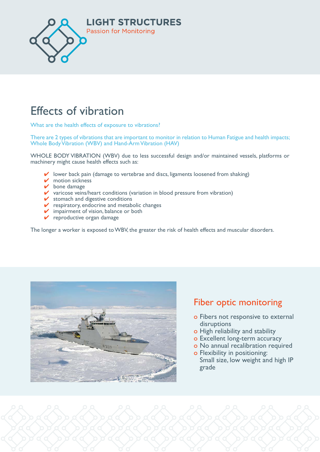

## $\Gamma$ <sup> $\alpha$ </sup>  $\beta$   $\beta$   $\gamma$  $\blacksquare$ Effects of vibration

What are the health effects of exposure to vibrations?

There are 2 types of vibrations that are important to monitor in relation to Human Fatigue and health impacts; Whole Body Vibration (WBV) and Hand-Arm Vibration (HAV) and the South extends the View of the South extends the Vi

WHOLE BODY VIBRATION (WBV) due to less successful design and/or maintained vessels, platforms or machinery might cause health effects such as:

- $\checkmark$  lower back pain (damage to vertebrae and discs, ligaments loosened from shaking) **<del></del>** motion sickness<br>
<del>■</del>
	-
- <del>✓</del> bone damage  $\Box$  $\overline{\phantom{a}}$  bone damage
- $$  $\checkmark$  varicose veins/heart conditions (variation in blood pressure from vibration)
- $\blacktriangledown$  stomach and digestive conditions  $\checkmark$  stomach and digestive conditions
	- $\checkmark$  respiratory, endocrine and metabolic changes
	- $\vee$  impairment of vision, balance or both
- $\checkmark$  reproductive organ damage  $\checkmark$  reproductive organ damage  $\blacksquare$

The longer a worker is exposed to WBV, the greater the risk of health effects and muscular disorders.



# **Fiber optic monitoring**

- **o Fibers not responsive to external** disruptions
- Ɂ AʰȶƃȴȈƺɁɥljɨƃɽɁɨǼʍȈǁƃȶƺlj o High reliability and stability
- **o Excellent long-term accuracy**
- **External in the Second State of No annual recalibration required**
- **o** Flexibility in positioning: Small size, low weight and high IP grade